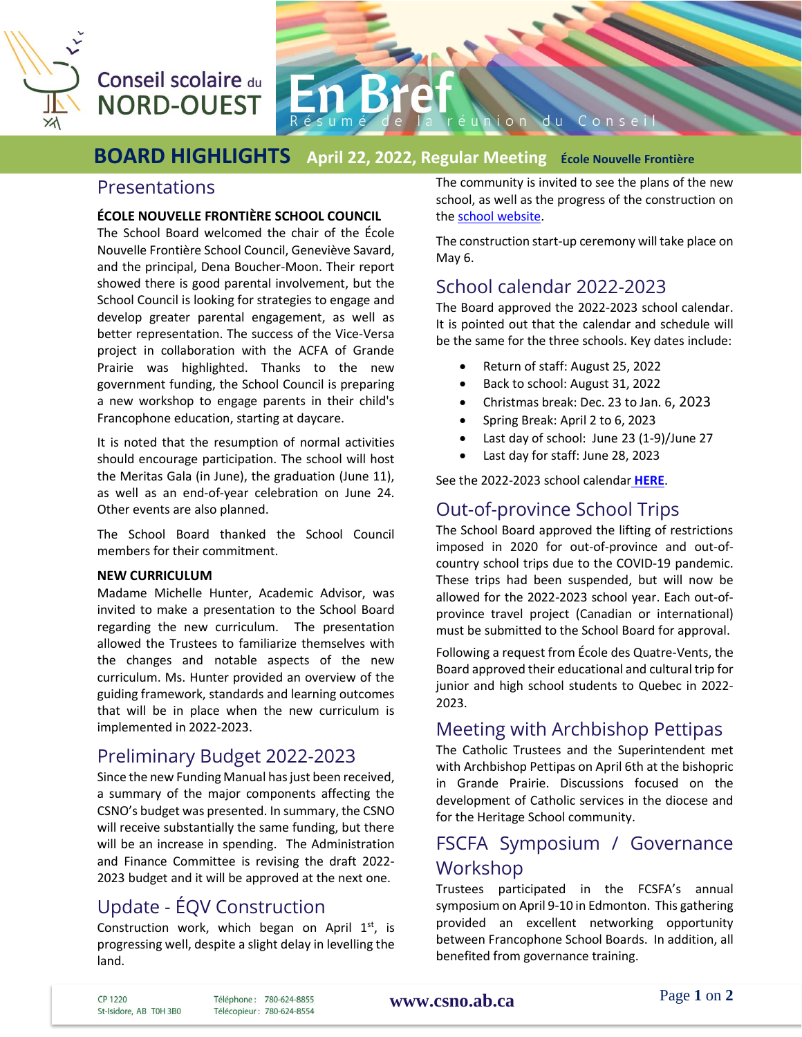

# Conseil scolaire du **NORD-OUEST**



#### **BOARD HIGHLIGHTS April 22, 2022, Regular Meeting École Nouvelle Frontière**

#### Presentations

#### **ÉCOLE NOUVELLE FRONTIÈRE SCHOOL COUNCIL**

The School Board welcomed the chair of the École Nouvelle Frontière School Council, Geneviève Savard, and the principal, Dena Boucher-Moon. Their report showed there is good parental involvement, but the School Council is looking for strategies to engage and develop greater parental engagement, as well as better representation. The success of the Vice-Versa project in collaboration with the ACFA of Grande Prairie was highlighted. Thanks to the new government funding, the School Council is preparing a new workshop to engage parents in their child's Francophone education, starting at daycare.

It is noted that the resumption of normal activities should encourage participation. The school will host the Meritas Gala (in June), the graduation (June 11), as well as an end-of-year celebration on June 24. Other events are also planned.

The School Board thanked the School Council members for their commitment.

#### **NEW CURRICULUM**

Madame Michelle Hunter, Academic Advisor, was invited to make a presentation to the School Board regarding the new curriculum. The presentation allowed the Trustees to familiarize themselves with the changes and notable aspects of the new curriculum. Ms. Hunter provided an overview of the guiding framework, standards and learning outcomes that will be in place when the new curriculum is implemented in 2022-2023.

## Preliminary Budget 2022-2023

Since the new Funding Manual has just been received, a summary of the major components affecting the CSNO's budget was presented. In summary, the CSNO will receive substantially the same funding, but there will be an increase in spending. The Administration and Finance Committee is revising the draft 2022- 2023 budget and it will be approved at the next one.

# Update - ÉQV Construction

Construction work, which began on April 1st, is progressing well, despite a slight delay in levelling the land.

The community is invited to see the plans of the new school, as well as the progress of the construction on th[e school website.](https://quatrevents.csno.ab.ca/2022/03/17/progression-de-la-nouvelle-ecole/)

The construction start-up ceremony will take place on May 6.

#### School calendar 2022-2023

The Board approved the 2022-2023 school calendar. It is pointed out that the calendar and schedule will be the same for the three schools. Key dates include:

- Return of staff: August 25, 2022
- Back to school: August 31, 2022
- Christmas break: Dec. 23 to Jan. 6, 2023
- Spring Break: April 2 to 6, 2023
- Last day of school: June 23 (1-9)/June 27
- Last day for staff: June 28, 2023

See the 2022-2023 school calendar **[HERE](https://csno.ab.ca/calendrier/calendriers-scolaires/)**.

#### Out-of-province School Trips

The School Board approved the lifting of restrictions imposed in 2020 for out-of-province and out-ofcountry school trips due to the COVID-19 pandemic. These trips had been suspended, but will now be allowed for the 2022-2023 school year. Each out-ofprovince travel project (Canadian or international) must be submitted to the School Board for approval.

Following a request from École des Quatre-Vents, the Board approved their educational and cultural trip for junior and high school students to Quebec in 2022- 2023.

#### Meeting with Archbishop Pettipas

The Catholic Trustees and the Superintendent met with Archbishop Pettipas on April 6th at the bishopric in Grande Prairie. Discussions focused on the development of Catholic services in the diocese and for the Heritage School community.

## FSCFA Symposium / Governance Workshop

Trustees participated in the FCSFA's annual symposium on April 9-10 in Edmonton. This gathering provided an excellent networking opportunity between Francophone School Boards. In addition, all benefited from governance training.

CP 1220 St-Isidore, AB T0H 3B0 Téléphone: 780-624-8855 Télécopieur: 780-624-8554 **[www.csno.ab.ca](file://///CSNOServer/Usager/racber/Desktop/CSNO%20-%20Rachelle/En%20Bref/2010-2011/www.csno.ab.ca)**